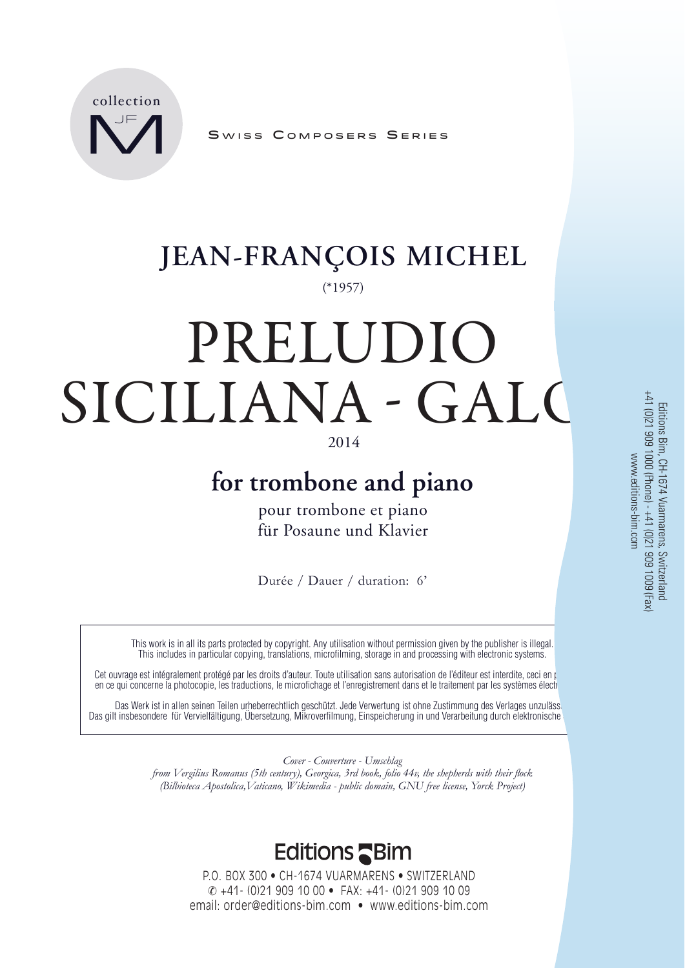

SWISS COMPOSERS SERIES

### (\*1957) **JEAN-FRANÇOIS MICHEL**

# PRELUDIO SICILIANA - GALO

#### 2014

## **for trombone and piano**

pour trombone et piano für Posaune und Klavier

Durée / Dauer / duration: 6'

This work is in all its parts protected by copyright. Any utilisation without permission given by the publisher is illegal. This includes in particular copying, translations, microfilming, storage in and processing with electronic systems.

Cet ouvrage est intégralement protégé par les droits d'auteur. Toute utilisation sans autorisation de l'éditeur est interdite, ceci en particulier en ce qui concerne la photocopie, les traductions, le microfichage et l'enregistrement dans et le traitement par les systèmes électroniques.

Das Werk ist in allen seinen Teilen urheberrechtlich geschützt. Jede Verwertung ist ohne Zustimmung des Verlages unzuläss Das gilt insbesondere für Vervielfältigung, Übersetzung, Mikroverfilmung, Einspeicherung in und Verarbeitung durch elektronische

> *Cover - Couverture - Umschlag from Vergilius Romanus (5th century), Georgica, 3rd book, folio 44v, the shepherds with their flock*

*(Bilbioteca Apostolica,Vaticano, Wikimedia - public domain, GNU free license, Yorck Project)*

### **Editions Shim**

P.O. BOX 300 • CH-1674 VUARMARENS • SWITZERLAND +41- (0)21 909 10 00 • FAX: +41- (0)21 909 10 09 email: order@editions-bim.com • www.editions-bim.com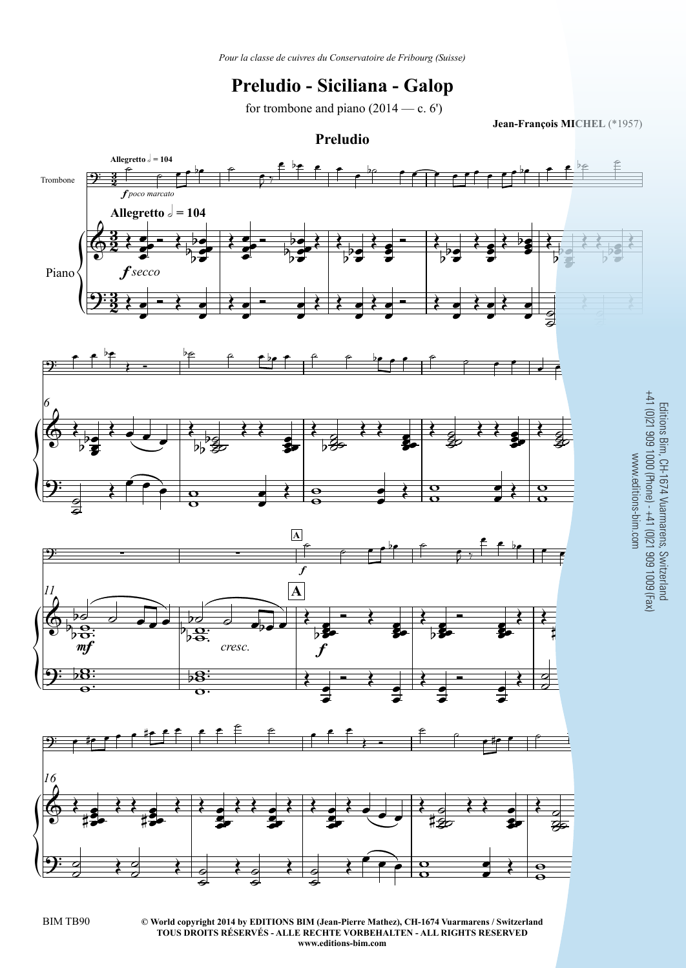#### **Preludio - Siciliana - Galop**

for trombone and piano  $(2014 - c. 6')$ 

**Jean-François MICHEL** (\*1957)



BIM TB90

**© World copyright 2014 by EDITIONS BIM (Jean-Pierre Mathez), CH-1674 Vuarmarens / SwitzerlandTOUS DROITS RÉSERVÉS - ALLE RECHTE VORBEHALTEN - ALL RIGHTS RESERVEDwww.editions-bim.com**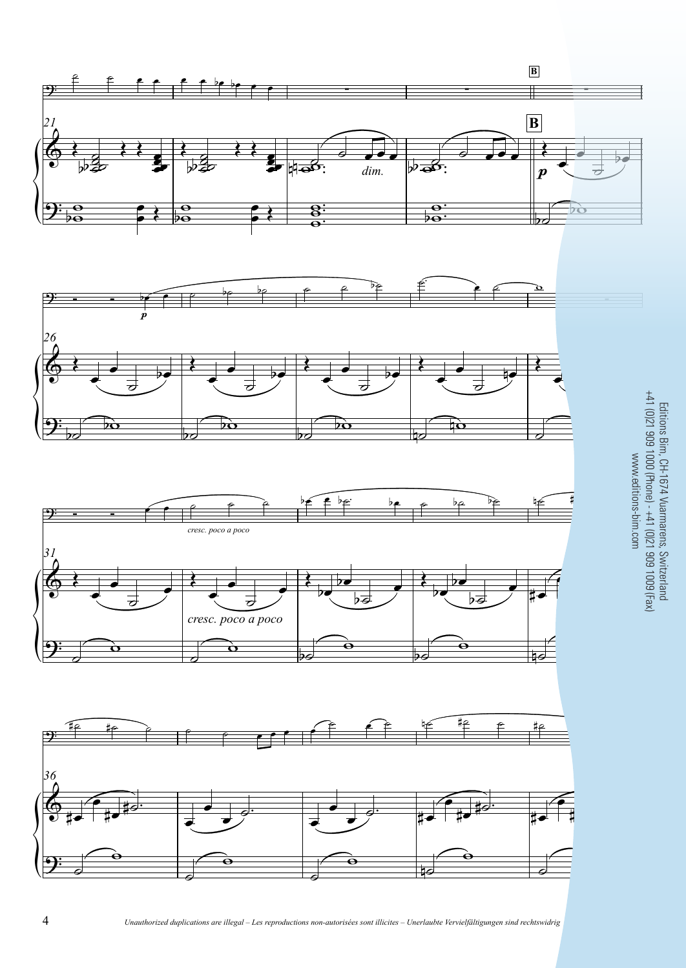

Editions Bim, CH-1674 Vuarmarens, Switzerland +41 (0)21 909 1000 (Phone) - +41 (0)21 909 1009 (Fax)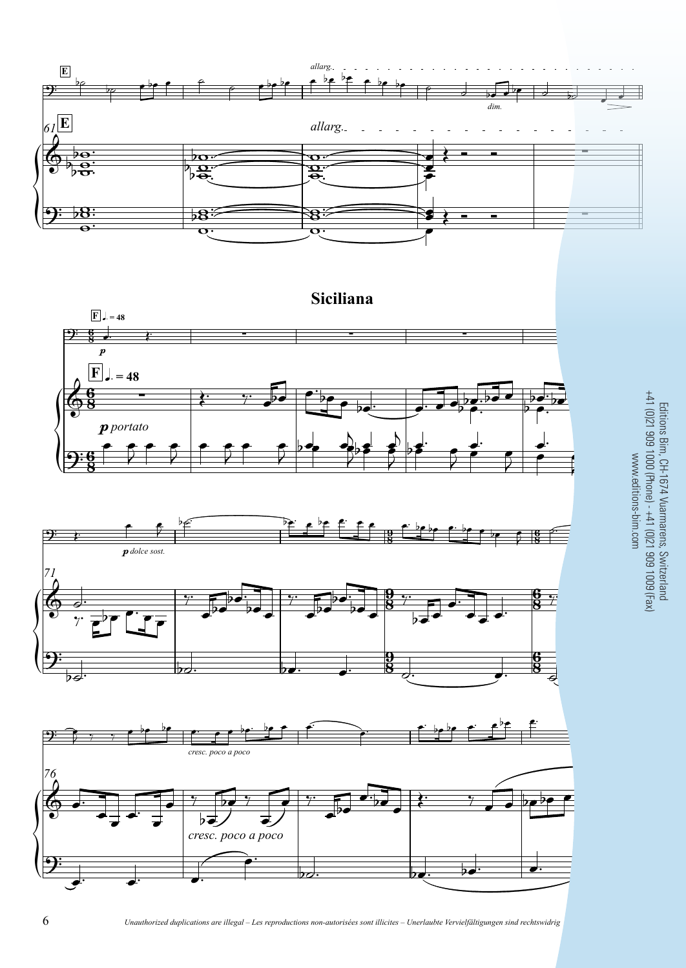







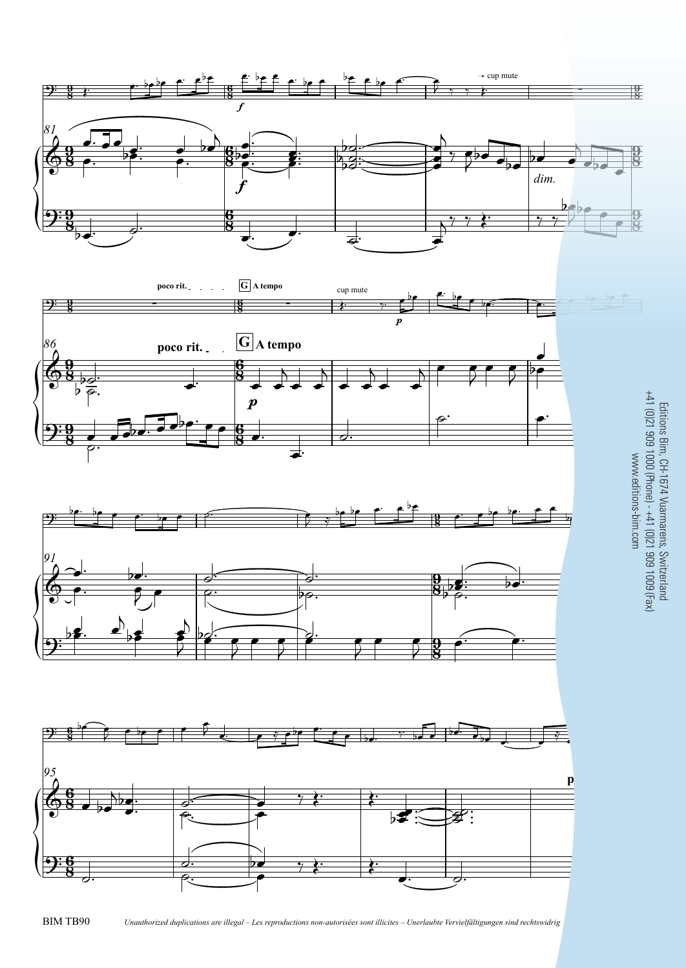